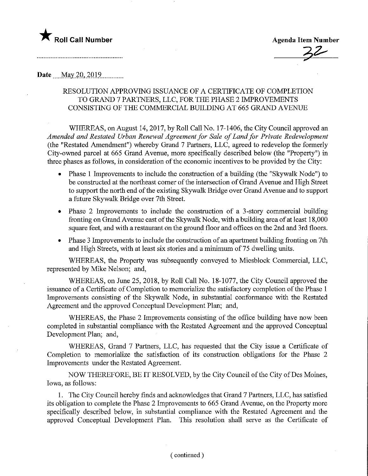# **The Soli Call Number Agenda Item Number** Agenda Item Number

### Date ..^May 20,201,9............

## RESOLUTION APPROVING ISSUANCE OF A CERTIFICATE OF COMPLETION TO GRAND 7 PARTNERS, LLC, FOR THE PHASE 2 IMPROVEMENTS CONSISTING OF THE COMMERCIAL BUILDING AT 665 GRAND AVENUE

WHEREAS, on August 14, 2017, by Roll Call No. 17-1406, the City Council approved an Amended and Restated Urban Renewal Agreement for Sale of Land for Private Redevelopment (the "Restated Amendment") whereby Grand 7 Partners, LLC, agreed to redevelop the formerly City-owned parcel at 665 Grand Avenue, more specifically described below (the "Property") in three phases as follows, in consideration of the economic incentives to be provided by the City:

- Phase 1 Improvements to include the construction of a building (the "Skywalk Node") to be constructed at the northeast comer of the intersection of Grand Avenue and High Street to support the north end of the existing Skywalk Bridge over Grand Avenue and to support a future Skywalk Bridge over 7th Street.
- Phase 2 Improvements to include the construction of a 3-story commercial building fronting on Grand Avenue east of the Skywalk Node, with a building area of at least 18,000 square feet, and with a restaurant on the ground floor and offices on the 2nd and 3rd floors.
- Phase 3 Improvements to include the construction of an apartment building fronting on 7th and High Streets, with at least six stories and a minimum of 75 dwelling units.

WHEREAS, the Property was subsequently conveyed to Miesblock Commercial, LLC, represented by Mike Nelson; and,

WHEREAS, on June 25, 2018, by Roll Call No. 18-1077, the City Council approved the issuance of a Certificate of Completion to memorialize the satisfactory completion of the Phase 1 Improvements consisting of the Skywalk Node, in substantial conformance with the Restated Agreement and the approved Conceptual Development Plan; and,

WHEREAS, the Phase 2 Improvements consisting of the office building have now been completed m substantial compliance with the Restated Agreement and the approved Conceptual Development Plan; and,

WHEREAS, Grand 7 Partners, LLC, has requested that the City issue a Certificate of Completion to memorialize the satisfaction of its construction obligations for the Phase 2 Improvements under the Restated Agreement.

NOW THEREFORE, BE IT RESOLVED, by the City Council of the City of Des Moines, Iowa, as follows:

1. The City Council hereby finds and acknowledges that Grand 7 Partners, LLC, has satisfied its obligation to complete the Phase 2 Improvements to 665 Grand Avenue, on the Property more specifically described below, in substantial compliance with the Restated Agreement and the approved Conceptual Development Plan. This resolution shall serve as the Certificate of